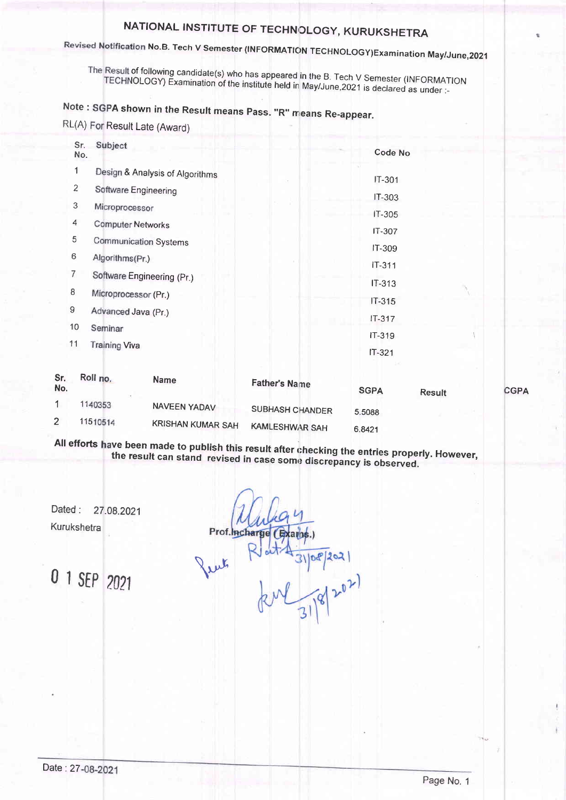# NATIONAL INSTITUTE OF TECHNOLOGY, KURUKSHETRA

Revised Notification No.B. Tech V Semester (INFORMATION TECHNOLOGY)Examination May/June,2021

The Result of following candidate(s) who has appeared in the B. Tech V Semester (INFORMATION TECHNOLOGY) Examination of the institute held in May/June, 2021 is declared as under :-

# Note: SGPA shown in the Result means Pass. "R" means Re-appear.

RL(A) For Result Late (Award)

| Sr.<br>No.              | Subject                         | Code No    |
|-------------------------|---------------------------------|------------|
| 1                       | Design & Analysis of Algorithms | $IT-301$   |
| $\overline{\mathbf{c}}$ | Software Engineering            |            |
| 3                       | Microprocessor                  | IT-303     |
| 4                       | <b>Computer Networks</b>        | IT-305     |
| 5                       | <b>Communication Systems</b>    | IT-307     |
| 6                       | Algorithms(Pr.)                 | IT-309     |
| 7                       | Software Engineering (Pr.)      | $IT-311$   |
| 8                       | Microprocessor (Pr.)            | IT-313     |
| 9                       | Advanced Java (Pr.)             | $IT-315$   |
| 10                      | Seminar                         | $IT - 317$ |
| 11                      | <b>Training Viva</b>            | $IT-319$   |
|                         |                                 | $IT-321$   |
|                         | $-$                             |            |

| Эr.<br>No. | KOII NO. | <b>Name</b>       | Father's Name         | <b>SGPA</b> | Result | <b>CGPA</b> |
|------------|----------|-------------------|-----------------------|-------------|--------|-------------|
|            | 1140353  | NAVEEN YADAV      | SUBHASH CHANDER       | 5.5088      |        |             |
| $\sim$     |          |                   |                       |             |        |             |
|            | 11510514 | KRISHAN KUMAR SAH | <b>KAMLESHWAR SAH</b> | 6.8421      |        |             |
|            |          |                   |                       |             |        |             |

All efforts have been made to publish this result after checking the entries properly. However, the result can stand revised in case some discrepancy is observed.

Dated: 27.08.2021 Kurukshetra

Prof. Inchar 31/08/2021 frut

0 1 SEP 2021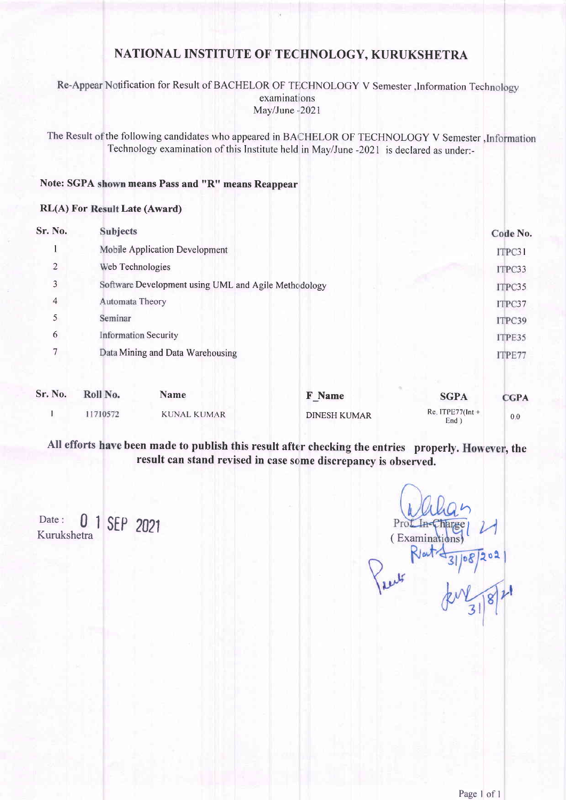# NATIONAL INSTITUTE OF TECHNOLOGY, KURUKSHETRA

#### Re-Appear Notification for Result of BACHELOR OF TECHNOLOGY V Semester , Information Technology examinations May/June -2021

The Result of the following candidates who appeared in BACHELOR OF TECHNOLOGY V Semester Technology examination of this Institute held in May/June -2021 is declared as under:-

### Note: SGPA shown means Pass and "R" means Reappear

#### RL(A) For Result Late (Award)

|                | <b>Mobile Application Development</b>                |        |
|----------------|------------------------------------------------------|--------|
|                |                                                      | ITPC31 |
| $\overline{2}$ | Web Technologies                                     | ITPC33 |
| 3              | Software Development using UML and Agile Methodology | ITPC35 |
| 4              | Automata Theory                                      | ITPC37 |
| 5              | Seminar                                              | ITPC39 |
| 6              | <b>Information Security</b>                          | ITPE35 |
|                | Data Mining and Data Warehousing                     | ITPE77 |

| Sr. No. | Roll No. | Name               | <b>F</b> Name       | <b>SGPA</b>                | <b>CGPA</b> |
|---------|----------|--------------------|---------------------|----------------------------|-------------|
|         | 11710572 | <b>KUNAL KUMAR</b> | <b>DINESH KUMAR</b> | $Re$ . ITPE77(Int +<br>End | 0.0         |

All efforts have been made to publish this result after checking the entries properly. However, the result can stand revised in case some discrepancy is observed.

Date: 0 1 SEP 2021 Kurukshetra

 $\sqrt{2}$ Prof I ( Exami 201  $\chi_{\mu\nu}$